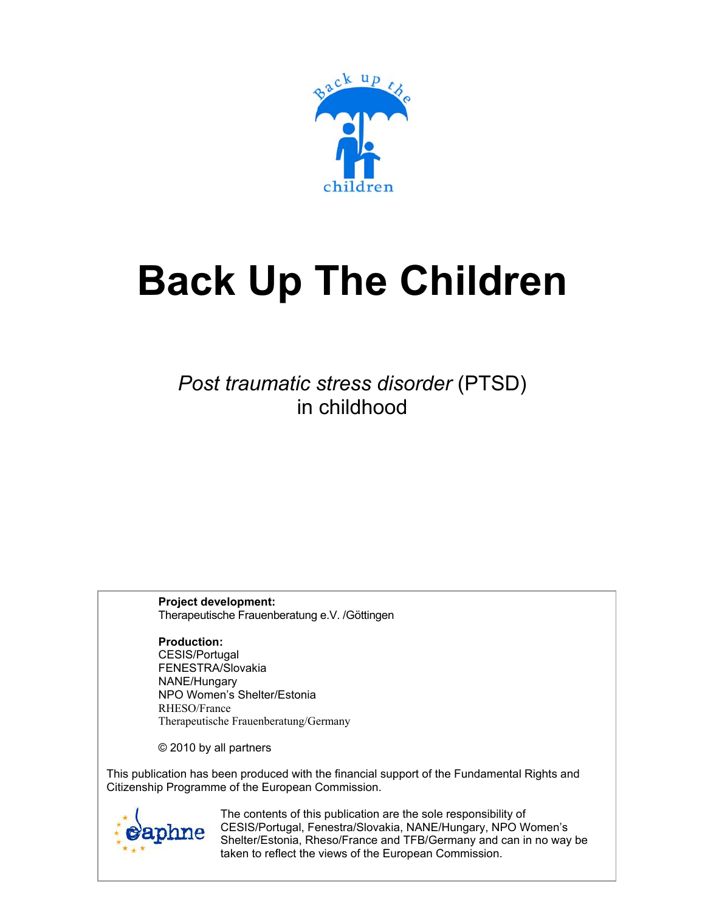

# **Back Up The Children**

*Post traumatic stress disorder* (PTSD) in childhood

**Project development:**  Therapeutische Frauenberatung e.V. /Göttingen

**Production:**  CESIS/Portugal FENESTRA/Slovakia NANE/Hungary NPO Women's Shelter/Estonia RHESO/France Therapeutische Frauenberatung/Germany

© 2010 by all partners

This publication has been produced with the financial support of the Fundamental Rights and Citizenship Programme of the European Commission.



**DVDC** Shelter/Estonia, Rheso/France and TFB/Germany and can in no way be taken to reflect the views of the European Commission. The contents of this publication are the sole responsibility of CESIS/Portugal, Fenestra/Slovakia, NANE/Hungary, NPO Women's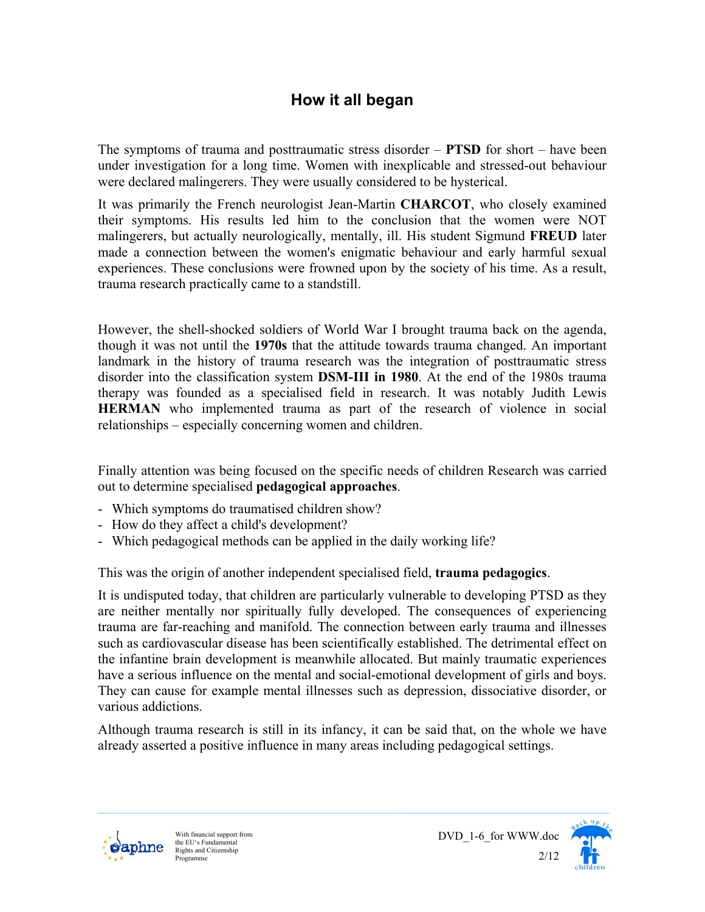## **How it all began**

The symptoms of trauma and posttraumatic stress disorder – **PTSD** for short – have been under investigation for a long time. Women with inexplicable and stressed-out behaviour were declared malingerers. They were usually considered to be hysterical.

It was primarily the French neurologist Jean-Martin **CHARCOT**, who closely examined their symptoms. His results led him to the conclusion that the women were NOT malingerers, but actually neurologically, mentally, ill. His student Sigmund **FREUD** later made a connection between the women's enigmatic behaviour and early harmful sexual experiences. These conclusions were frowned upon by the society of his time. As a result, trauma research practically came to a standstill.

However, the shell-shocked soldiers of World War I brought trauma back on the agenda, though it was not until the **1970s** that the attitude towards trauma changed. An important landmark in the history of trauma research was the integration of posttraumatic stress disorder into the classification system **DSM-III in 1980**. At the end of the 1980s trauma therapy was founded as a specialised field in research. It was notably Judith Lewis **HERMAN** who implemented trauma as part of the research of violence in social relationships – especially concerning women and children.

Finally attention was being focused on the specific needs of children Research was carried out to determine specialised **pedagogical approaches**.

- Which symptoms do traumatised children show?
- How do they affect a child's development?
- Which pedagogical methods can be applied in the daily working life?

This was the origin of another independent specialised field, **trauma pedagogics**.

It is undisputed today, that children are particularly vulnerable to developing PTSD as they are neither mentally nor spiritually fully developed. The consequences of experiencing trauma are far-reaching and manifold. The connection between early trauma and illnesses such as cardiovascular disease has been scientifically established. The detrimental effect on the infantine brain development is meanwhile allocated. But mainly traumatic experiences have a serious influence on the mental and social-emotional development of girls and boys. They can cause for example mental illnesses such as depression, dissociative disorder, or various addictions.

Although trauma research is still in its infancy, it can be said that, on the whole we have already asserted a positive influence in many areas including pedagogical settings.



 $2/12$ <br>Programme With financial support from the EU's Fundamental Rights and Citizenship Programme



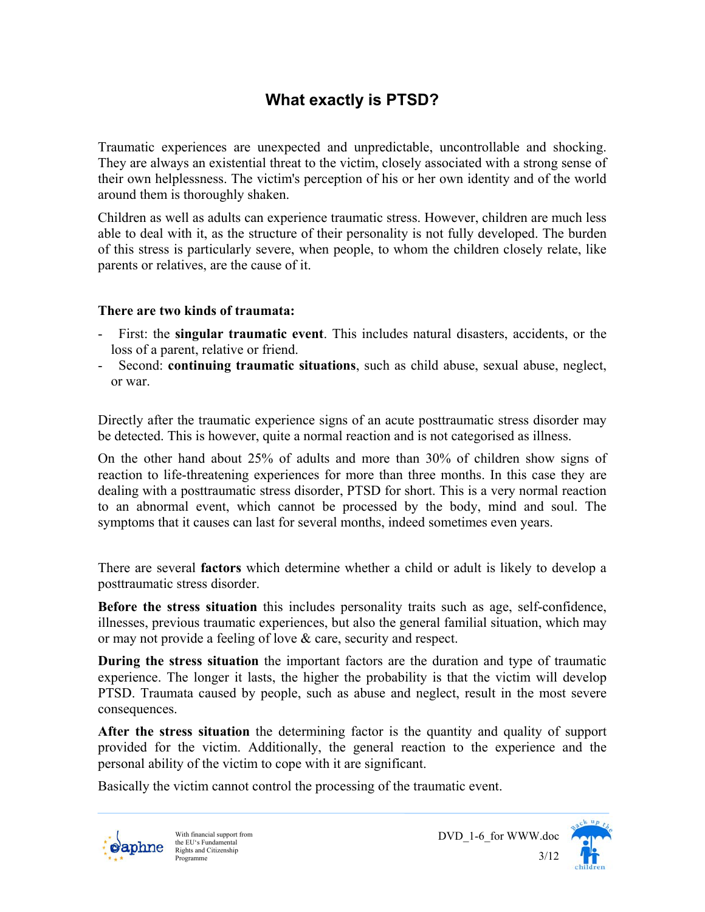# **What exactly is PTSD?**

Traumatic experiences are unexpected and unpredictable, uncontrollable and shocking. They are always an existential threat to the victim, closely associated with a strong sense of their own helplessness. The victim's perception of his or her own identity and of the world around them is thoroughly shaken.

Children as well as adults can experience traumatic stress. However, children are much less able to deal with it, as the structure of their personality is not fully developed. The burden of this stress is particularly severe, when people, to whom the children closely relate, like parents or relatives, are the cause of it.

#### **There are two kinds of traumata:**

- First: the **singular traumatic event**. This includes natural disasters, accidents, or the loss of a parent, relative or friend.
- Second: **continuing traumatic situations**, such as child abuse, sexual abuse, neglect, or war.

Directly after the traumatic experience signs of an acute posttraumatic stress disorder may be detected. This is however, quite a normal reaction and is not categorised as illness.

On the other hand about 25% of adults and more than 30% of children show signs of reaction to life-threatening experiences for more than three months. In this case they are dealing with a posttraumatic stress disorder, PTSD for short. This is a very normal reaction to an abnormal event, which cannot be processed by the body, mind and soul. The symptoms that it causes can last for several months, indeed sometimes even years.

There are several **factors** which determine whether a child or adult is likely to develop a posttraumatic stress disorder.

**Before the stress situation** this includes personality traits such as age, self-confidence, illnesses, previous traumatic experiences, but also the general familial situation, which may or may not provide a feeling of love & care, security and respect.

**During the stress situation** the important factors are the duration and type of traumatic experience. The longer it lasts, the higher the probability is that the victim will develop PTSD. Traumata caused by people, such as abuse and neglect, result in the most severe consequences.

**After the stress situation** the determining factor is the quantity and quality of support provided for the victim. Additionally, the general reaction to the experience and the personal ability of the victim to cope with it are significant.

Basically the victim cannot control the processing of the traumatic event.



 $\frac{1}{3/12}$ <br>Programme With financial support from the EU's Fundamental Rights and Citizenship Programme



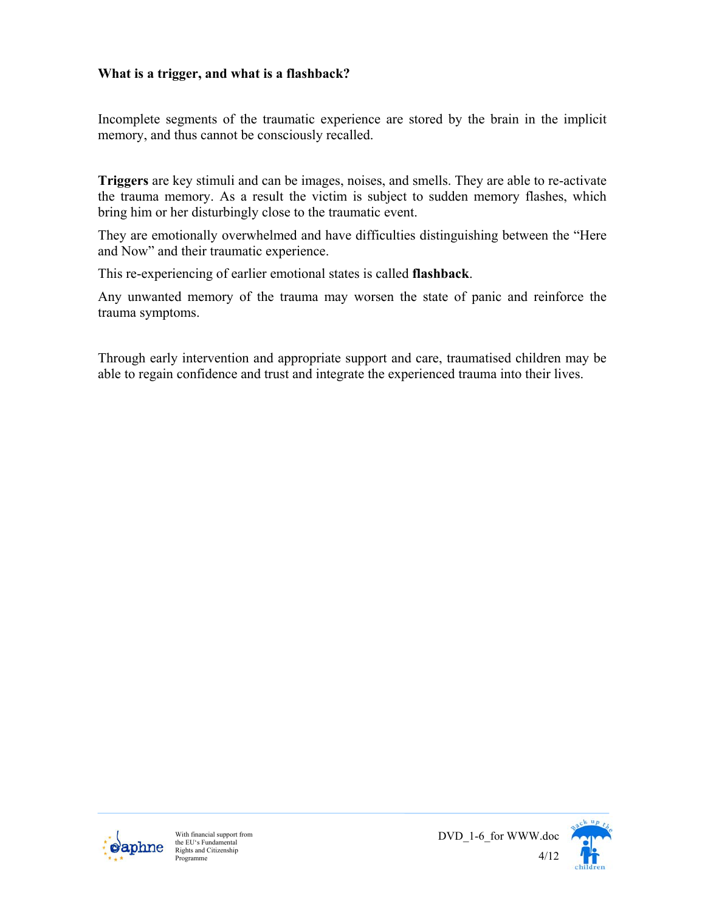## **What is a trigger, and what is a flashback?**

Incomplete segments of the traumatic experience are stored by the brain in the implicit memory, and thus cannot be consciously recalled.

**Triggers** are key stimuli and can be images, noises, and smells. They are able to re-activate the trauma memory. As a result the victim is subject to sudden memory flashes, which bring him or her disturbingly close to the traumatic event.

They are emotionally overwhelmed and have difficulties distinguishing between the "Here and Now" and their traumatic experience.

This re-experiencing of earlier emotional states is called **flashback**.

Any unwanted memory of the trauma may worsen the state of panic and reinforce the trauma symptoms.

Through early intervention and appropriate support and care, traumatised children may be able to regain confidence and trust and integrate the experienced trauma into their lives.





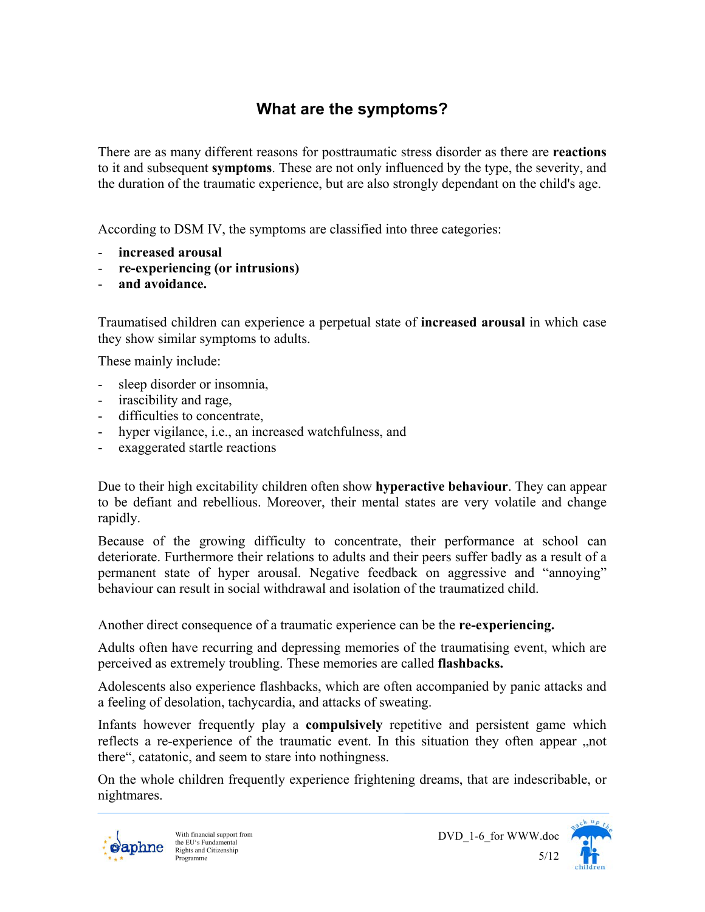# **What are the symptoms?**

There are as many different reasons for posttraumatic stress disorder as there are **reactions** to it and subsequent **symptoms**. These are not only influenced by the type, the severity, and the duration of the traumatic experience, but are also strongly dependant on the child's age.

According to DSM IV, the symptoms are classified into three categories:

- **increased arousal**
- **re-experiencing (or intrusions)**
- **and avoidance.**

Traumatised children can experience a perpetual state of **increased arousal** in which case they show similar symptoms to adults.

These mainly include:

- sleep disorder or insomnia,
- irascibility and rage,
- difficulties to concentrate,
- hyper vigilance, i.e., an increased watchfulness, and
- exaggerated startle reactions

Due to their high excitability children often show **hyperactive behaviour**. They can appear to be defiant and rebellious. Moreover, their mental states are very volatile and change rapidly.

Because of the growing difficulty to concentrate, their performance at school can deteriorate. Furthermore their relations to adults and their peers suffer badly as a result of a permanent state of hyper arousal. Negative feedback on aggressive and "annoying" behaviour can result in social withdrawal and isolation of the traumatized child.

Another direct consequence of a traumatic experience can be the **re-experiencing.** 

Adults often have recurring and depressing memories of the traumatising event, which are perceived as extremely troubling. These memories are called **flashbacks.** 

Adolescents also experience flashbacks, which are often accompanied by panic attacks and a feeling of desolation, tachycardia, and attacks of sweating.

Infants however frequently play a **compulsively** repetitive and persistent game which reflects a re-experience of the traumatic event. In this situation they often appear "not there", catatonic, and seem to stare into nothingness.

On the whole children frequently experience frightening dreams, that are indescribable, or nightmares.



 $5/12$ <br>Programme With financial support from the EU's Fundamental Rights and Citizenship Programme

DVD\_1-6\_for WWW.doc

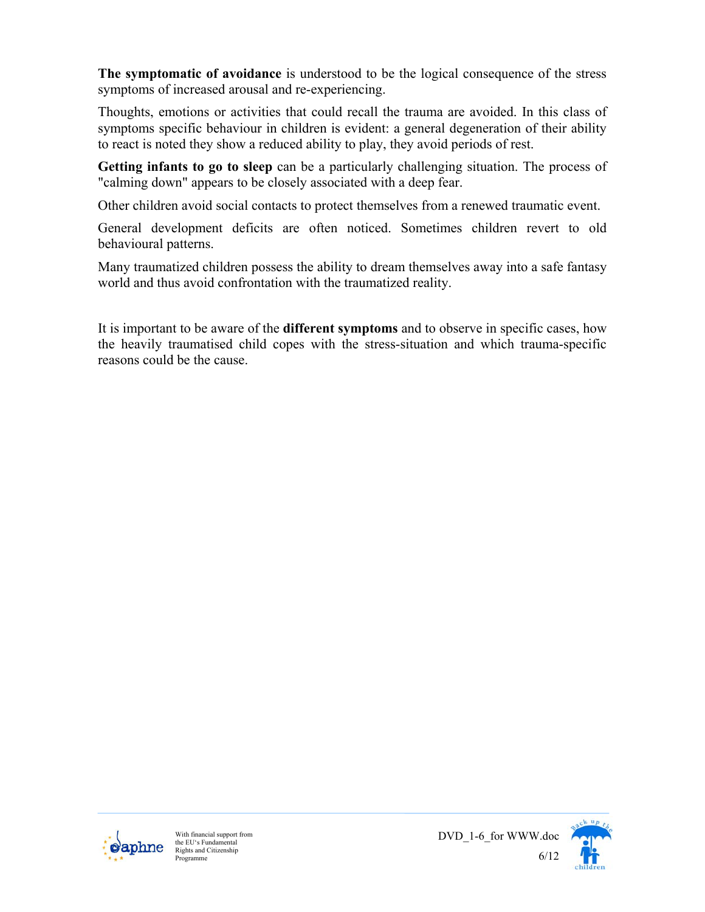**The symptomatic of avoidance** is understood to be the logical consequence of the stress symptoms of increased arousal and re-experiencing.

Thoughts, emotions or activities that could recall the trauma are avoided. In this class of symptoms specific behaviour in children is evident: a general degeneration of their ability to react is noted they show a reduced ability to play, they avoid periods of rest.

**Getting infants to go to sleep** can be a particularly challenging situation. The process of "calming down" appears to be closely associated with a deep fear.

Other children avoid social contacts to protect themselves from a renewed traumatic event.

General development deficits are often noticed. Sometimes children revert to old behavioural patterns.

Many traumatized children possess the ability to dream themselves away into a safe fantasy world and thus avoid confrontation with the traumatized reality.

It is important to be aware of the **different symptoms** and to observe in specific cases, how the heavily traumatised child copes with the stress-situation and which trauma-specific reasons could be the cause.





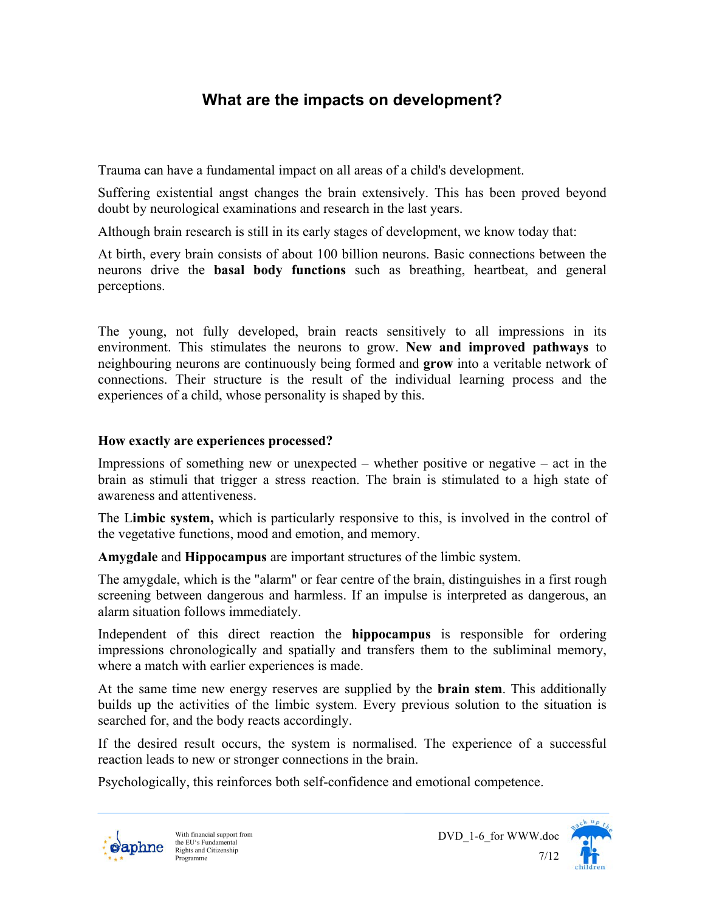## **What are the impacts on development?**

Trauma can have a fundamental impact on all areas of a child's development.

Suffering existential angst changes the brain extensively. This has been proved beyond doubt by neurological examinations and research in the last years.

Although brain research is still in its early stages of development, we know today that:

At birth, every brain consists of about 100 billion neurons. Basic connections between the neurons drive the **basal body functions** such as breathing, heartbeat, and general perceptions.

The young, not fully developed, brain reacts sensitively to all impressions in its environment. This stimulates the neurons to grow. **New and improved pathways** to neighbouring neurons are continuously being formed and **grow** into a veritable network of connections. Their structure is the result of the individual learning process and the experiences of a child, whose personality is shaped by this.

#### **How exactly are experiences processed?**

Impressions of something new or unexpected – whether positive or negative – act in the brain as stimuli that trigger a stress reaction. The brain is stimulated to a high state of awareness and attentiveness.

The L**imbic system,** which is particularly responsive to this, is involved in the control of the vegetative functions, mood and emotion, and memory.

**Amygdale** and **Hippocampus** are important structures of the limbic system.

The amygdale, which is the "alarm" or fear centre of the brain, distinguishes in a first rough screening between dangerous and harmless. If an impulse is interpreted as dangerous, an alarm situation follows immediately.

Independent of this direct reaction the **hippocampus** is responsible for ordering impressions chronologically and spatially and transfers them to the subliminal memory, where a match with earlier experiences is made.

At the same time new energy reserves are supplied by the **brain stem**. This additionally builds up the activities of the limbic system. Every previous solution to the situation is searched for, and the body reacts accordingly.

If the desired result occurs, the system is normalised. The experience of a successful reaction leads to new or stronger connections in the brain.

Psychologically, this reinforces both self-confidence and emotional competence.





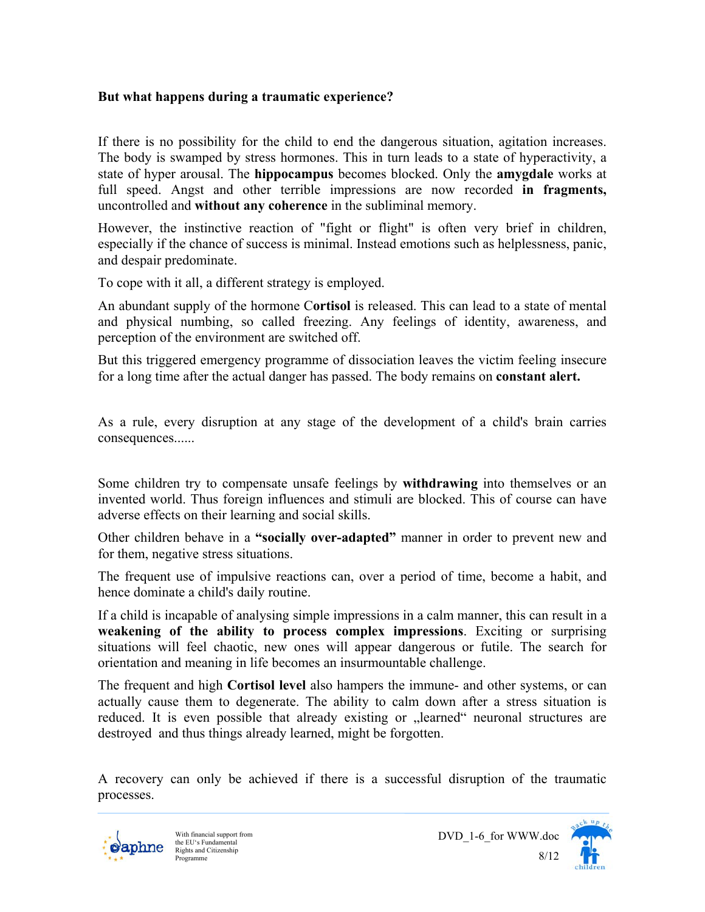#### **But what happens during a traumatic experience?**

If there is no possibility for the child to end the dangerous situation, agitation increases. The body is swamped by stress hormones. This in turn leads to a state of hyperactivity, a state of hyper arousal. The **hippocampus** becomes blocked. Only the **amygdale** works at full speed. Angst and other terrible impressions are now recorded **in fragments,** uncontrolled and **without any coherence** in the subliminal memory.

However, the instinctive reaction of "fight or flight" is often very brief in children, especially if the chance of success is minimal. Instead emotions such as helplessness, panic, and despair predominate.

To cope with it all, a different strategy is employed.

An abundant supply of the hormone C**ortisol** is released. This can lead to a state of mental and physical numbing, so called freezing. Any feelings of identity, awareness, and perception of the environment are switched off.

But this triggered emergency programme of dissociation leaves the victim feeling insecure for a long time after the actual danger has passed. The body remains on **constant alert.** 

As a rule, every disruption at any stage of the development of a child's brain carries consequences......

Some children try to compensate unsafe feelings by **withdrawing** into themselves or an invented world. Thus foreign influences and stimuli are blocked. This of course can have adverse effects on their learning and social skills.

Other children behave in a **"socially over-adapted"** manner in order to prevent new and for them, negative stress situations.

The frequent use of impulsive reactions can, over a period of time, become a habit, and hence dominate a child's daily routine.

If a child is incapable of analysing simple impressions in a calm manner, this can result in a **weakening of the ability to process complex impressions**. Exciting or surprising situations will feel chaotic, new ones will appear dangerous or futile. The search for orientation and meaning in life becomes an insurmountable challenge.

The frequent and high **Cortisol level** also hampers the immune- and other systems, or can actually cause them to degenerate. The ability to calm down after a stress situation is reduced. It is even possible that already existing or "learned" neuronal structures are destroyed and thus things already learned, might be forgotten.

A recovery can only be achieved if there is a successful disruption of the traumatic processes.



 $8/12$ <br>Programme With financial support from the EU's Fundamental Rights and Citizenship Programme



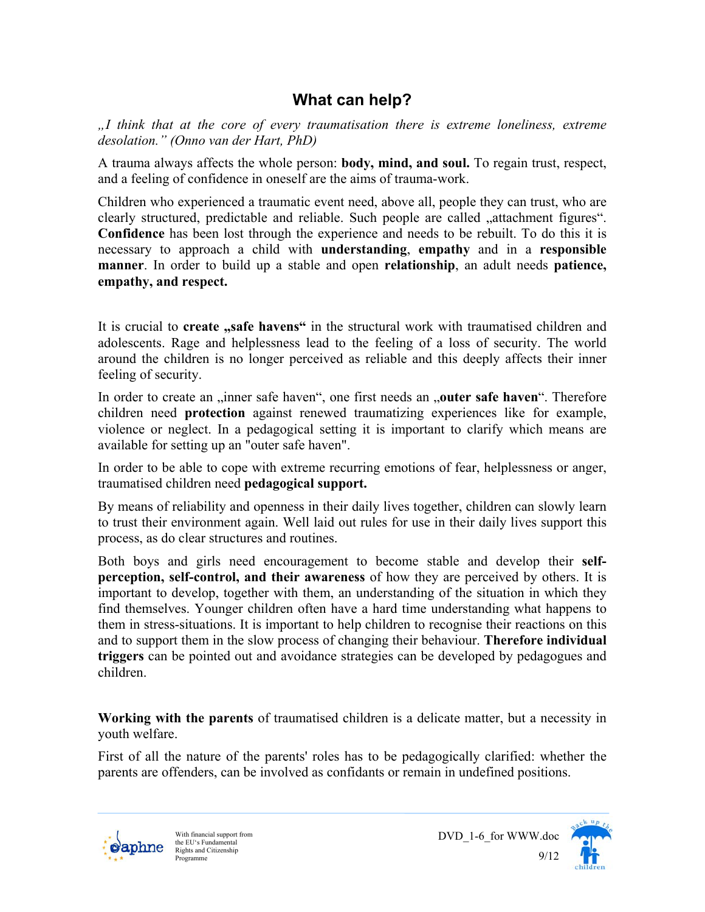## **What can help?**

*"I think that at the core of every traumatisation there is extreme loneliness, extreme desolation." (Onno van der Hart, PhD)* 

A trauma always affects the whole person: **body, mind, and soul.** To regain trust, respect, and a feeling of confidence in oneself are the aims of trauma-work.

Children who experienced a traumatic event need, above all, people they can trust, who are clearly structured, predictable and reliable. Such people are called "attachment figures". **Confidence** has been lost through the experience and needs to be rebuilt. To do this it is necessary to approach a child with **understanding**, **empathy** and in a **responsible manner**. In order to build up a stable and open **relationship**, an adult needs **patience, empathy, and respect.** 

It is crucial to **create** "safe havens" in the structural work with traumatised children and adolescents. Rage and helplessness lead to the feeling of a loss of security. The world around the children is no longer perceived as reliable and this deeply affects their inner feeling of security.

In order to create an "inner safe haven", one first needs an "outer safe haven". Therefore children need **protection** against renewed traumatizing experiences like for example, violence or neglect. In a pedagogical setting it is important to clarify which means are available for setting up an "outer safe haven".

In order to be able to cope with extreme recurring emotions of fear, helplessness or anger, traumatised children need **pedagogical support.**

By means of reliability and openness in their daily lives together, children can slowly learn to trust their environment again. Well laid out rules for use in their daily lives support this process, as do clear structures and routines.

Both boys and girls need encouragement to become stable and develop their **selfperception, self-control, and their awareness** of how they are perceived by others. It is important to develop, together with them, an understanding of the situation in which they find themselves. Younger children often have a hard time understanding what happens to them in stress-situations. It is important to help children to recognise their reactions on this and to support them in the slow process of changing their behaviour. **Therefore individual triggers** can be pointed out and avoidance strategies can be developed by pedagogues and children.

**Working with the parents** of traumatised children is a delicate matter, but a necessity in youth welfare.

First of all the nature of the parents' roles has to be pedagogically clarified: whether the parents are offenders, can be involved as confidants or remain in undefined positions.



 $9/12$ <br>Programme With financial support from the EU's Fundamental Rights and Citizenship Programme



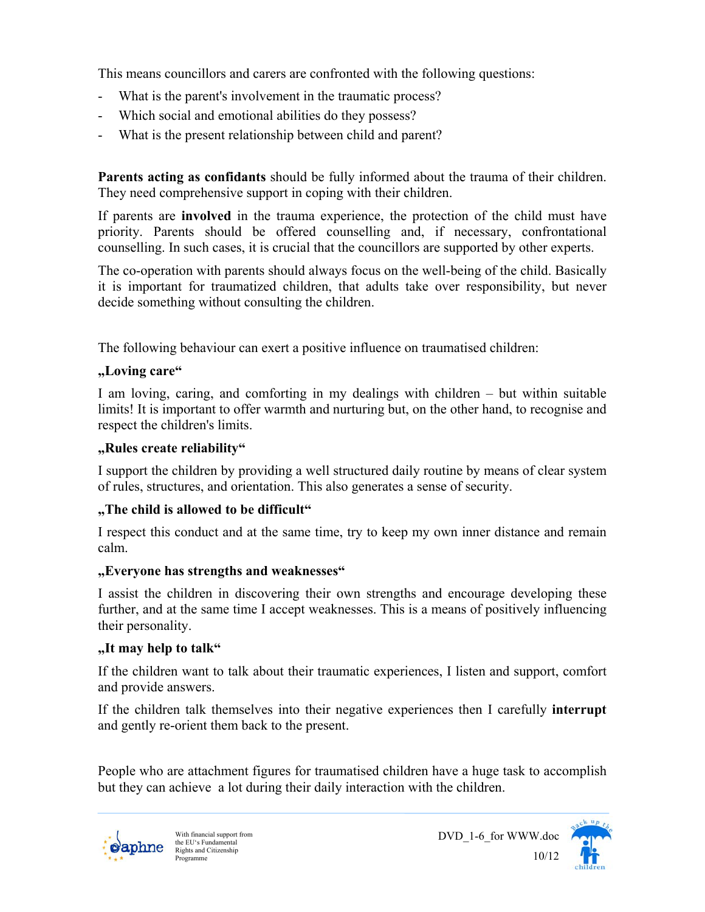This means councillors and carers are confronted with the following questions:

- What is the parent's involvement in the traumatic process?
- Which social and emotional abilities do they possess?
- What is the present relationship between child and parent?

**Parents acting as confidants** should be fully informed about the trauma of their children. They need comprehensive support in coping with their children.

If parents are **involved** in the trauma experience, the protection of the child must have priority. Parents should be offered counselling and, if necessary, confrontational counselling. In such cases, it is crucial that the councillors are supported by other experts.

The co-operation with parents should always focus on the well-being of the child. Basically it is important for traumatized children, that adults take over responsibility, but never decide something without consulting the children.

The following behaviour can exert a positive influence on traumatised children:

#### **"Loving care"**

I am loving, caring, and comforting in my dealings with children – but within suitable limits! It is important to offer warmth and nurturing but, on the other hand, to recognise and respect the children's limits.

#### **"Rules create reliability"**

I support the children by providing a well structured daily routine by means of clear system of rules, structures, and orientation. This also generates a sense of security.

#### **"The child is allowed to be difficult"**

I respect this conduct and at the same time, try to keep my own inner distance and remain calm.

#### **"Everyone has strengths and weaknesses"**

I assist the children in discovering their own strengths and encourage developing these further, and at the same time I accept weaknesses. This is a means of positively influencing their personality.

#### **"It may help to talk"**

If the children want to talk about their traumatic experiences, I listen and support, comfort and provide answers.

If the children talk themselves into their negative experiences then I carefully **interrupt** and gently re-orient them back to the present.

People who are attachment figures for traumatised children have a huge task to accomplish but they can achieve a lot during their daily interaction with the children.



 $\frac{10}{12}$  Programme With financial support from the EU's Fundamental Rights and Citizenship Programme



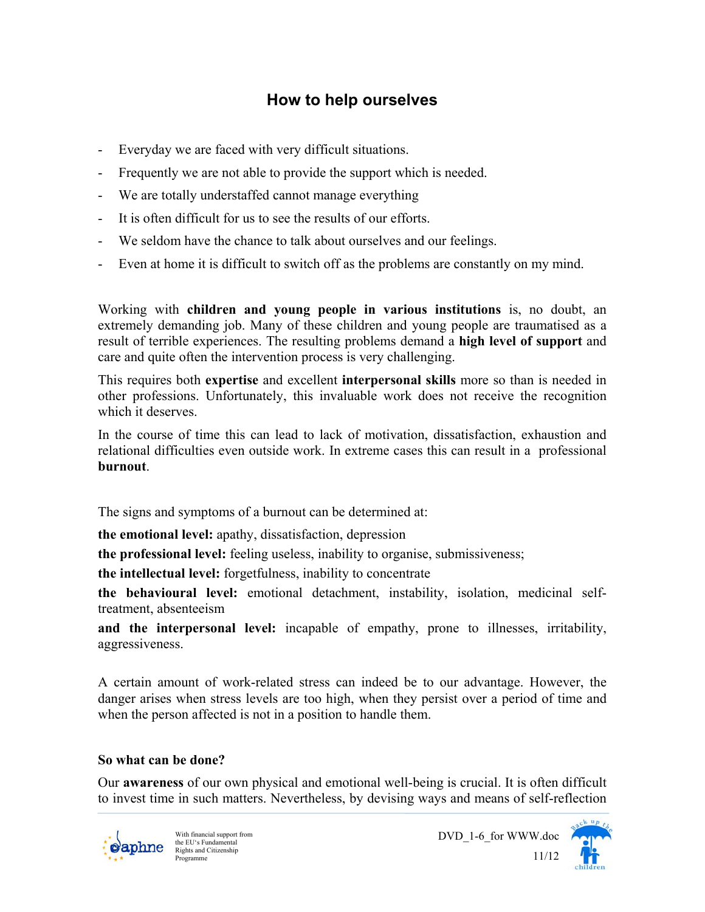## **How to help ourselves**

- Everyday we are faced with very difficult situations.
- Frequently we are not able to provide the support which is needed.
- We are totally understaffed cannot manage everything
- It is often difficult for us to see the results of our efforts.
- We seldom have the chance to talk about ourselves and our feelings.
- Even at home it is difficult to switch off as the problems are constantly on my mind.

Working with **children and young people in various institutions** is, no doubt, an extremely demanding job. Many of these children and young people are traumatised as a result of terrible experiences. The resulting problems demand a **high level of support** and care and quite often the intervention process is very challenging.

This requires both **expertise** and excellent **interpersonal skills** more so than is needed in other professions. Unfortunately, this invaluable work does not receive the recognition which it deserves.

In the course of time this can lead to lack of motivation, dissatisfaction, exhaustion and relational difficulties even outside work. In extreme cases this can result in a professional **burnout**.

The signs and symptoms of a burnout can be determined at:

**the emotional level:** apathy, dissatisfaction, depression

**the professional level:** feeling useless, inability to organise, submissiveness;

**the intellectual level:** forgetfulness, inability to concentrate

**the behavioural level:** emotional detachment, instability, isolation, medicinal selftreatment, absenteeism

**and the interpersonal level:** incapable of empathy, prone to illnesses, irritability, aggressiveness.

A certain amount of work-related stress can indeed be to our advantage. However, the danger arises when stress levels are too high, when they persist over a period of time and when the person affected is not in a position to handle them.

#### **So what can be done?**

Our **awareness** of our own physical and emotional well-being is crucial. It is often difficult to invest time in such matters. Nevertheless, by devising ways and means of self-reflection



DVD\_1-6\_for WWW.doc